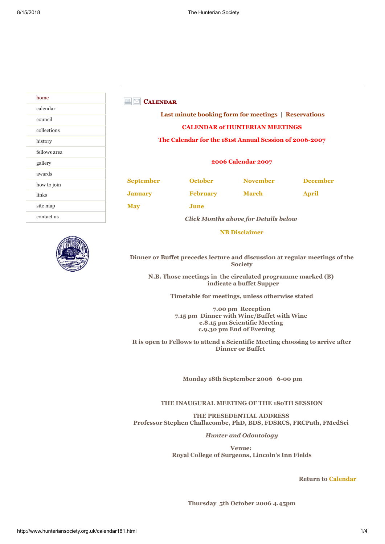| home         |
|--------------|
| calendar     |
| council      |
| collections  |
| history      |
| fellows area |
| gallery      |
| awards       |
| how to join  |
| links        |
| site map     |
| contact us   |
|              |



## **CALENDAR**

# **[Last minute booking form for meetings](http://www.hunteriansociety.org.uk/booking.html) | [Reservations](http://www.hunteriansociety.org.uk/reservations.html)  CALENDAR of HUNTERIAN MEETINGS The Calendar for the 181st Annual Session of 2006-2007**

#### **2006 Calendar 2007**

**[May](#page-2-3) [June](#page-3-0)**

**[September](#page-0-0) [October](#page-0-1) [November](#page-1-0) [December](#page-1-1) [January](#page-1-2) [February](#page-2-0) [March](#page-2-1) [April](#page-2-2)**

*Click Months above for Details below*

**[NB Disclaimer](http://www.hunteriansociety.org.uk/disclaimer.html)**

**Dinner or Buffet precedes lecture and discussion at regular meetings of the Society**

**N.B. Those meetings in the circulated programme marked (B) indicate a buffet Supper**

**Timetable for meetings, unless otherwise stated**

**7.00 pm Reception 7.15 pm Dinner with Wine/Buffet with Wine c.8.15 pm Scientific Meeting c.9.30 pm End of Evening** 

**It is open to Fellows to attend a Scientific Meeting choosing to arrive after Dinner or Buffet**

<span id="page-0-0"></span> **Monday 18th September 2006 6-00 pm**

## **THE INAUGURAL MEETING OF THE 180TH SESSION**

**THE PRESEDENTIAL ADDRESS Professor Stephen Challacombe, PhD, BDS, FDSRCS, FRCPath, FMedSci**

*Hunter and Odontology*

**Venue: Royal College of Surgeons, Lincoln's Inn Fields**

**Return to Calendar**

<span id="page-0-1"></span>**Thursday 5th October 2006 4.45pm**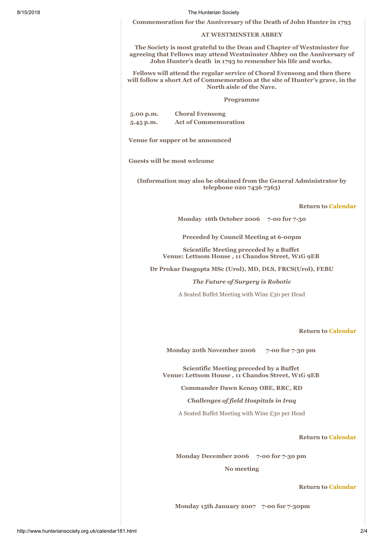#### 8/15/2018 The Hunterian Society

**Commemoration for the Anniversary of the Death of John Hunter in 1793**

## **AT WESTMINSTER ABBEY**

**The Society is most grateful to the Dean and Chapter of Westminster for agreeing that Fellows may attend Westminster Abbey on the Anniversary of John Hunter's death in 1793 to remember his life and works.**

**Fellows will attend the regular service of Choral Evensong and then there will follow a short Act of Commemoration at the site of Hunter's grave, in the North aisle of the Nave.**

#### **Programme**

| $5.00$ p.m. | <b>Choral Evensong</b>      |
|-------------|-----------------------------|
| $5.45$ p.m. | <b>Act of Commemoration</b> |

**Venue for supper ot be announced**

**Guests will be most welcome**

**(Information may also be obtained from the General Administrator by telephone 020 7436 7363)**

#### **Return to Calendar**

**Monday 16th October 2006 7-00 for 7-30**

**Preceded by Council Meeting at 6-00pm**

**Scientific Meeting preceded by a Buffet Venue: Lettsom House , 11 Chandos Street, W1G 9EB**

**Dr Prokar Dasgupta MSc (Urol), MD, DLS, FRCS(Urol), FEBU**

*The Future of Surgery is Robotic*

A Seated Buffet Meeting with Wine £30 per Head

#### **Return to Calendar**

<span id="page-1-0"></span>**Monday 20th November 2006 7-00 for 7-30 pm** 

**Scientific Meeting preceded by a Buffet Venue: Lettsom House , 11 Chandos Street, W1G 9EB**

**Commander Dawn Kenny OBE, RRC, RD**

*Challenges of field Hospitals in Iraq*

A Seated Buffet Meeting with Wine £30 per Head

**Return to Calendar**

**Monday December 2006 7-00 for 7-30 pm** 

<span id="page-1-2"></span><span id="page-1-1"></span>**No meeting**

#### **Return to Calendar**

 **Monday 15th January 2007 7-00 for 7-30pm**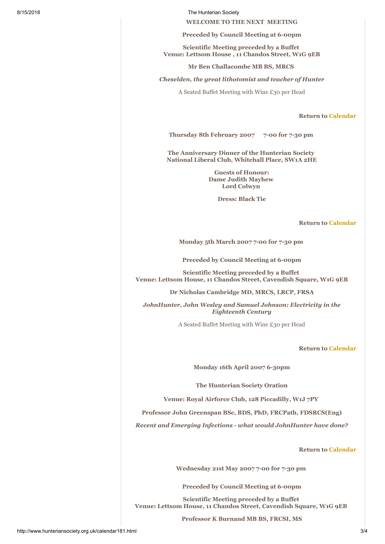8/15/2018 The Hunterian Society

**WELCOME TO THE NEXT MEETING**

**Preceded by Council Meeting at 6-00pm**

**Scientific Meeting preceded by a Buffet Venue: Lettsom House , 11 Chandos Street, W1G 9EB**

**Mr Ben Challacombe MB BS, MRCS**

*Cheselden, the great lithotomist and teacher of Hunter*

A Seated Buffet Meeting with Wine £30 per Head

**Return to Calendar**

**Thursday 8th February 2007 7-00 for 7-30 pm** 

**The Anniversary Dinner of the Hunterian Society National Liberal Club, Whitehall Place, SW1A 2HE**

> <span id="page-2-0"></span>**Guests of Honour: Dame Judith Mayhew Lord Colwyn**

> > **Dress: Black Tie**

#### **Return to Calendar**

<span id="page-2-1"></span>**Monday 5th March 2007 7-00 for 7-30 pm** 

**Preceded by Council Meeting at 6-00pm**

**Scientific Meeting preceded by a Buffet Venue: Lettsom House, 11 Chandos Street, Cavendish Square, W1G 9EB**

**Dr Nicholas Cambridge MD, MRCS, LRCP, FRSA**

*JohnHunter, John Wesley and Samuel Johnson: Electricity in the Eighteenth Century*

A Seated Buffet Meeting with Wine £30 per Head

#### **Return to Calendar**

<span id="page-2-2"></span>**Monday 16th April 2007 6-30pm**

**The Hunterian Society Oration**

**Venue: Royal Airforce Club, 128 Piccadilly, W1J 7PY**

**Professor John Greenspan BSc, BDS, PhD, FRCPath, FDSRCS(Eng)**

*Recent and Emerging Infections - what would JohnHunter have done?*

## **Return to Calendar**

**Wednesday 21st May 2007 7-00 for 7-30 pm** 

<span id="page-2-3"></span>**Preceded by Council Meeting at 6-00pm**

**Scientific Meeting preceded by a Buffet Venue: Lettsom House, 11 Chandos Street, Cavendish Square, W1G 9EB**

**Professor K Burnand MB BS, FRCSI, MS**